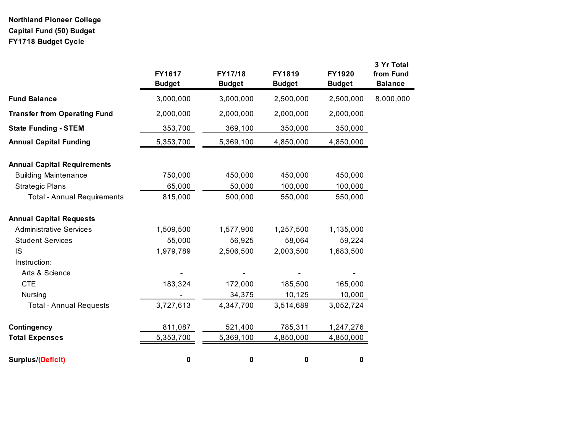# **Northland Pioneer College Capital Fund (50) Budget FY1718 Budget Cycle**

|                                     | FY1617<br><b>Budget</b> | FY17/18<br><b>Budget</b> | <b>FY1819</b><br><b>Budget</b> | <b>FY1920</b><br><b>Budget</b> | 3 Yr Total<br>from Fund<br><b>Balance</b> |
|-------------------------------------|-------------------------|--------------------------|--------------------------------|--------------------------------|-------------------------------------------|
| <b>Fund Balance</b>                 | 3,000,000               | 3,000,000                | 2,500,000                      | 2,500,000                      | 8,000,000                                 |
| <b>Transfer from Operating Fund</b> | 2,000,000               | 2,000,000                | 2,000,000                      | 2,000,000                      |                                           |
| <b>State Funding - STEM</b>         | 353,700                 | 369,100                  | 350,000                        | 350,000                        |                                           |
| <b>Annual Capital Funding</b>       | 5,353,700               | 5,369,100                | 4,850,000                      | 4,850,000                      |                                           |
| <b>Annual Capital Requirements</b>  |                         |                          |                                |                                |                                           |
| <b>Building Maintenance</b>         | 750,000                 | 450,000                  | 450,000                        | 450,000                        |                                           |
| <b>Strategic Plans</b>              | 65,000                  | 50,000                   | 100,000                        | 100,000                        |                                           |
| <b>Total - Annual Requirements</b>  | 815,000                 | 500,000                  | 550,000                        | 550,000                        |                                           |
| <b>Annual Capital Requests</b>      |                         |                          |                                |                                |                                           |
| <b>Administrative Services</b>      | 1,509,500               | 1,577,900                | 1,257,500                      | 1,135,000                      |                                           |
| <b>Student Services</b>             | 55,000                  | 56,925                   | 58,064                         | 59,224                         |                                           |
| <b>IS</b>                           | 1,979,789               | 2,506,500                | 2,003,500                      | 1,683,500                      |                                           |
| Instruction:                        |                         |                          |                                |                                |                                           |
| Arts & Science                      |                         |                          |                                |                                |                                           |
| <b>CTE</b>                          | 183,324                 | 172,000                  | 185,500                        | 165,000                        |                                           |
| Nursing                             |                         | 34,375                   | 10,125                         | 10,000                         |                                           |
| <b>Total - Annual Requests</b>      | 3,727,613               | 4,347,700                | 3,514,689                      | 3,052,724                      |                                           |
| Contingency                         | 811,087                 | 521,400                  | 785,311                        | 1,247,276                      |                                           |
| <b>Total Expenses</b>               | 5,353,700               | 5,369,100                | 4,850,000                      | 4,850,000                      |                                           |
| Surplus/(Deficit)                   | $\pmb{0}$               | 0                        | $\pmb{0}$                      | 0                              |                                           |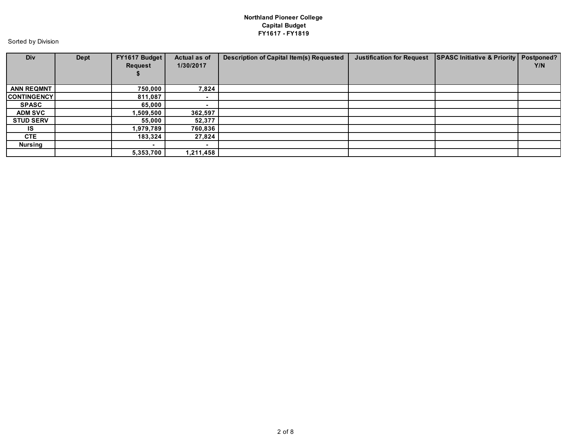## **Northland Pioneer College Capital Budget FY1617 - FY1819**

Sorted by Division

| Div                | Dept | FY1617 Budget<br>Request | Actual as of<br>1/30/2017 | <b>Description of Capital Item(s) Requested</b> | <b>Justification for Request</b> | SPASC Initiative & Priority   Postponed? | Y/N |
|--------------------|------|--------------------------|---------------------------|-------------------------------------------------|----------------------------------|------------------------------------------|-----|
| <b>ANN REQMNT</b>  |      | 750,000                  | 7,824                     |                                                 |                                  |                                          |     |
| <b>CONTINGENCY</b> |      | 811,087                  | $\overline{\phantom{0}}$  |                                                 |                                  |                                          |     |
| <b>SPASC</b>       |      | 65,000                   |                           |                                                 |                                  |                                          |     |
| <b>ADM SVC</b>     |      | 509,500. ا               | 362,597                   |                                                 |                                  |                                          |     |
| <b>STUD SERV</b>   |      | 55,000                   | 52,377                    |                                                 |                                  |                                          |     |
| IS.                |      | 1,979,789                | 760,836                   |                                                 |                                  |                                          |     |
| <b>CTE</b>         |      | 183,324                  | 27,824                    |                                                 |                                  |                                          |     |
| <b>Nursing</b>     |      |                          |                           |                                                 |                                  |                                          |     |
|                    |      | 5,353,700                | 1,211,458                 |                                                 |                                  |                                          |     |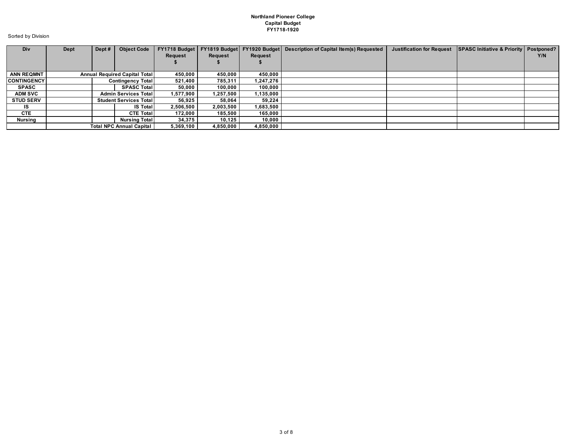#### **Northland Pioneer College Capital Budget FY1718-1920**

Sorted by Division

| Div                | Dept | Dept# | <b>Object Code</b>                   | FY1718 Budget  |           |           | FY1819 Budget   FY1920 Budget   Description of Capital Item(s) Requested | <b>Justification for Request</b> | SPASC Initiative & Priority   Postponed? |     |
|--------------------|------|-------|--------------------------------------|----------------|-----------|-----------|--------------------------------------------------------------------------|----------------------------------|------------------------------------------|-----|
|                    |      |       |                                      | <b>Request</b> | Request   | Request   |                                                                          |                                  |                                          | Y/N |
|                    |      |       |                                      |                |           |           |                                                                          |                                  |                                          |     |
|                    |      |       |                                      |                |           |           |                                                                          |                                  |                                          |     |
| <b>ANN REQMNT</b>  |      |       | <b>Annual Required Capital Total</b> | 450.000        | 450.000   | 450.000   |                                                                          |                                  |                                          |     |
| <b>CONTINGENCY</b> |      |       | <b>Contingency Total</b>             | 521.400        | 785,311   | 1.247.276 |                                                                          |                                  |                                          |     |
| <b>SPASC</b>       |      |       | <b>SPASC Total</b>                   | 50.000         | 100.000   | 100.000   |                                                                          |                                  |                                          |     |
| <b>ADM SVC</b>     |      |       | <b>Admin Services Total</b>          | 1.577.900      | 1,257,500 | 1,135,000 |                                                                          |                                  |                                          |     |
| <b>STUD SERV</b>   |      |       | <b>Student Services Totall</b>       | 56.925         | 58.064    | 59.224    |                                                                          |                                  |                                          |     |
| IS.                |      |       | <b>IS Total</b>                      | 2,506,500      | 2,003,500 | 1,683,500 |                                                                          |                                  |                                          |     |
| <b>CTE</b>         |      |       | <b>CTE Total</b>                     | 172.000        | 185,500   | 165.000   |                                                                          |                                  |                                          |     |
| <b>Nursing</b>     |      |       | <b>Nursing Total</b>                 | 34,375         | 10,125    | 10,000    |                                                                          |                                  |                                          |     |
|                    |      |       | <b>Total NPC Annual Capital  </b>    | 5.369.100      | 4,850,000 | 4,850,000 |                                                                          |                                  |                                          |     |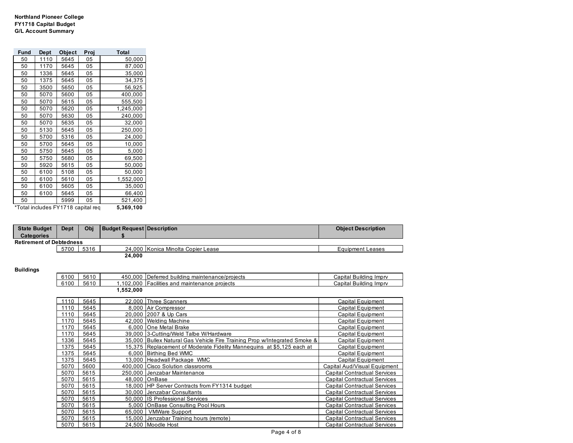#### **Northland Pioneer College FY1718 Capital Budget G/L Account Summary**

| Fund | Dept | Object                             | Proj | Total     |
|------|------|------------------------------------|------|-----------|
| 50   | 1110 | 5645                               | 05   | 50,000    |
| 50   | 1170 | 5645                               | 05   | 87,000    |
| 50   | 1336 | 5645                               | 05   | 35,000    |
| 50   | 1375 | 5645                               | 05   | 34,375    |
| 50   | 3500 | 5650                               | 05   | 56,925    |
| 50   | 5070 | 5600                               | 05   | 400,000   |
| 50   | 5070 | 5615                               | 05   | 555,500   |
| 50   | 5070 | 5620                               | 05   | 1,245,000 |
| 50   | 5070 | 5630                               | 05   | 240,000   |
| 50   | 5070 | 5635                               | 05   | 32,000    |
| 50   | 5130 | 5645                               | 05   | 250,000   |
| 50   | 5700 | 5316                               | 05   | 24,000    |
| 50   | 5700 | 5645                               | 05   | 10,000    |
| 50   | 5750 | 5645                               | 05   | 5,000     |
| 50   | 5750 | 5680                               | 05   | 69,500    |
| 50   | 5920 | 5615                               | 05   | 50,000    |
| 50   | 6100 | 5108                               | 05   | 50,000    |
| 50   | 6100 | 5610                               | 05   | 1,552,000 |
| 50   | 6100 | 5605                               | 05   | 35,000    |
| 50   | 6100 | 5645                               | 05   | 66,400    |
| 50   |      | 5999                               | 05   | 521,400   |
|      |      | *Total includes FY1718 capital req |      | 5,369,100 |

| <b>State Budget</b>             | <b>Dept</b> | Obi  | <b>Budget Request Description</b> |                                    | <b>Object Description</b> |  |  |  |
|---------------------------------|-------------|------|-----------------------------------|------------------------------------|---------------------------|--|--|--|
| <b>Categories</b>               |             |      |                                   |                                    |                           |  |  |  |
| <b>Retirement of Debtedness</b> |             |      |                                   |                                    |                           |  |  |  |
|                                 | 5700        | 5316 |                                   | 24.000 Konica Minolta Copier Lease | Equipment Leases          |  |  |  |
|                                 |             |      | 24.000                            |                                    |                           |  |  |  |

### **Buildings**

| 6100 | 5610 |           | 450,000 Deferred building maintenance/projects                            | Capital Building Imprv              |
|------|------|-----------|---------------------------------------------------------------------------|-------------------------------------|
| 6100 | 5610 |           | 1,102,000 Facilities and maintenance projects                             | Capital Building Imprv              |
|      |      | 1,552,000 |                                                                           |                                     |
|      |      |           |                                                                           |                                     |
| 1110 | 5645 |           | 22,000 Three Scanners                                                     | Capital Equipment                   |
| 1110 | 5645 |           | 8,000 Air Compressor                                                      | Capital Equipment                   |
| 1110 | 5645 |           | 20,000 2007 & Up Cars                                                     | Capital Equipment                   |
| 1170 | 5645 |           | 42,000 Welding Machine                                                    | Capital Equipment                   |
| 1170 | 5645 |           | 6,000 One Metal Brake                                                     | Capital Equipment                   |
| 1170 | 5645 |           | 39,000 3-Cutting/Weld Talbe W/Hardware                                    | Capital Equipment                   |
| 1336 | 5645 |           | 35,000 Bullex Natural Gas Vehicle Fire Training Prop w/Integrated Smoke & | Capital Equipment                   |
| 1375 | 5645 |           | 15,375   Replacement of Moderate Fidelity Mannequins at \$5,125 each at   | Capital Equipment                   |
| 1375 | 5645 |           | 6,000 Birthing Bed WMC                                                    | Capital Equipment                   |
| 1375 | 5645 |           | 13,000 Headwall Package WMC                                               | Capital Equipment                   |
| 5070 | 5600 |           | 400,000 Cisco Solution classrooms                                         | Capital Aud/Visual Equipment        |
| 5070 | 5615 |           | 250,000 Jenzabar Maintenance                                              | <b>Capital Contractual Services</b> |
| 5070 | 5615 |           | 48.000 OnBase                                                             | <b>Capital Contractual Services</b> |
| 5070 | 5615 |           | 18,000 HP Server Contracts from FY1314 budget                             | <b>Capital Contractual Services</b> |
| 5070 | 5615 |           | 30,000 Jenzabar Consultants                                               | <b>Capital Contractual Services</b> |
| 5070 | 5615 |           | 50,000 IS Professional Services                                           | Capital Contractual Services        |
| 5070 | 5615 |           | 5,000 OnBase Consulting Pool Hours                                        | <b>Capital Contractual Services</b> |
| 5070 | 5615 | 65,000    | <b>VMWare Support</b>                                                     | Capital Contractual Services        |
| 5070 | 5615 |           | 15,000 Jenzabar Training hours (remote)                                   | Capital Contractual Services        |
| 5070 | 5615 |           | 24,500 Moodle Host                                                        | Capital Contractual Services        |
|      |      |           | $D_{0}$ $A_{0}$ $A_{1}$ $A_{2}$                                           |                                     |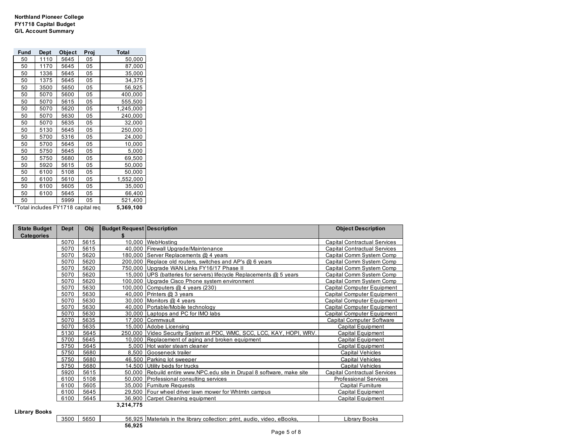#### **Northland Pioneer College FY1718 Capital Budget G/L Account Summary**

| Fund | <b>Dept</b>                                     | Object | Proj | Total     |  |  |
|------|-------------------------------------------------|--------|------|-----------|--|--|
| 50   | 1110                                            | 5645   | 05   | 50,000    |  |  |
| 50   | 1170                                            | 5645   | 05   | 87,000    |  |  |
| 50   | 1336                                            | 5645   | 05   | 35,000    |  |  |
| 50   | 1375                                            | 5645   | 05   | 34,375    |  |  |
| 50   | 3500                                            | 5650   | 05   | 56,925    |  |  |
| 50   | 5070                                            | 5600   | 05   | 400,000   |  |  |
| 50   | 5070                                            | 5615   | 05   | 555,500   |  |  |
| 50   | 5070                                            | 5620   | 05   | 1,245,000 |  |  |
| 50   | 5070                                            | 5630   | 05   | 240,000   |  |  |
| 50   | 5070                                            | 5635   | 05   | 32,000    |  |  |
| 50   | 5130                                            | 5645   | 05   | 250,000   |  |  |
| 50   | 5700                                            | 5316   | 05   | 24,000    |  |  |
| 50   | 5700                                            | 5645   | 05   | 10,000    |  |  |
| 50   | 5750                                            | 5645   | 05   | 5,000     |  |  |
| 50   | 5750                                            | 5680   | 05   | 69,500    |  |  |
| 50   | 5920                                            | 5615   | 05   | 50,000    |  |  |
| 50   | 6100                                            | 5108   | 05   | 50,000    |  |  |
| 50   | 6100                                            | 5610   | 05   | 1,552,000 |  |  |
| 50   | 6100                                            | 5605   | 05   | 35,000    |  |  |
| 50   | 6100                                            | 5645   | 05   | 66,400    |  |  |
| 50   |                                                 | 5999   | 05   | 521,400   |  |  |
|      | *Total includes FY1718 capital req<br>5,369,100 |        |      |           |  |  |

| <b>State Budget</b> | Dept | Obj  | <b>Budget Request Description</b> |                                                                        | <b>Object Description</b>           |
|---------------------|------|------|-----------------------------------|------------------------------------------------------------------------|-------------------------------------|
| <b>Categories</b>   |      |      |                                   |                                                                        |                                     |
|                     | 5070 | 5615 |                                   | 10,000 WebHosting                                                      | <b>Capital Contractual Services</b> |
|                     | 5070 | 5615 |                                   | 40,000 Firewall Upgrade/Maintenance                                    | <b>Capital Contractual Services</b> |
|                     | 5070 | 5620 |                                   | 180,000 Server Replacements @ 4 years                                  | Capital Comm System Comp            |
|                     | 5070 | 5620 |                                   | 200,000 Replace old routers, switches and AP's @ 6 years               | Capital Comm System Comp            |
|                     | 5070 | 5620 |                                   | 750,000 Upgrade WAN Links FY16/17 Phase II                             | Capital Comm System Comp            |
|                     | 5070 | 5620 |                                   | 15,000 UPS (batteries for servers) lifecycle Replacements @ 5 years    | Capital Comm System Comp            |
|                     | 5070 | 5620 |                                   | 100,000 Upgrade Cisco Phone system environment                         | Capital Comm System Comp            |
|                     | 5070 | 5630 |                                   | 100,000 Computers @ 4 years (230)                                      | <b>Capital Computer Equipment</b>   |
|                     | 5070 | 5630 |                                   | 40,000 Printers $@3$ years                                             | Capital Computer Equipment          |
|                     | 5070 | 5630 |                                   | 30,000 Monitors $@$ 4 years                                            | <b>Capital Computer Equipment</b>   |
|                     | 5070 | 5630 |                                   | 40,000 Portable/Mobile technology                                      | <b>Capital Computer Equipment</b>   |
|                     | 5070 | 5630 |                                   | 30,000 Laptops and PC for IMO labs                                     | <b>Capital Computer Equipment</b>   |
|                     | 5070 | 5635 |                                   | 17,000 Commvault                                                       | Capital Computer Software           |
|                     | 5070 | 5635 |                                   | 15.000 Adobe Licensing                                                 | Capital Equipment                   |
|                     | 5130 | 5645 |                                   | 250,000 Video Security System at PDC, WMC, SCC, LCC, KAY, HOPI, WRV.   | Capital Equipment                   |
|                     | 5700 | 5645 |                                   | 10,000 Replacement of aging and broken equipment                       | <b>Capital Equipment</b>            |
|                     | 5750 | 5645 |                                   | 5,000 Hot water steam cleaner                                          | <b>Capital Equipment</b>            |
|                     | 5750 | 5680 |                                   | 8.500 Gooseneck trailer                                                | <b>Capital Vehicles</b>             |
|                     | 5750 | 5680 |                                   | 46,500 Parking lot sweeper                                             | <b>Capital Vehicles</b>             |
|                     | 5750 | 5680 |                                   | 14,500 Utility beds for trucks                                         | <b>Capital Vehicles</b>             |
|                     | 5920 | 5615 |                                   | 50,000 Rebuild entire www.NPC.edu site in Drupal 8 software, make site | <b>Capital Contractual Services</b> |
|                     | 6100 | 5108 |                                   | 50,000 Professional consulting services                                | <b>Professional Services</b>        |
|                     | 6100 | 5605 |                                   | 35,000 Furniture Requests                                              | <b>Capital Furniture</b>            |
|                     | 6100 | 5645 |                                   | 29,500 Four wheel driver lawn mower for Whtmtn campus                  | Capital Equipment                   |
|                     | 6100 | 5645 |                                   | 36.900 Carpet Cleaning equipment                                       | <b>Capital Equipment</b>            |
|                     |      |      | 3,214,775                         |                                                                        |                                     |

#### **Library Books**

Г

| 3500<br>5650 | 56.925<br>Materials in<br>eBooks.<br>library collection:<br>: print. audio.<br>video<br>າ the | Library Books |
|--------------|-----------------------------------------------------------------------------------------------|---------------|
|              | 56,925                                                                                        |               |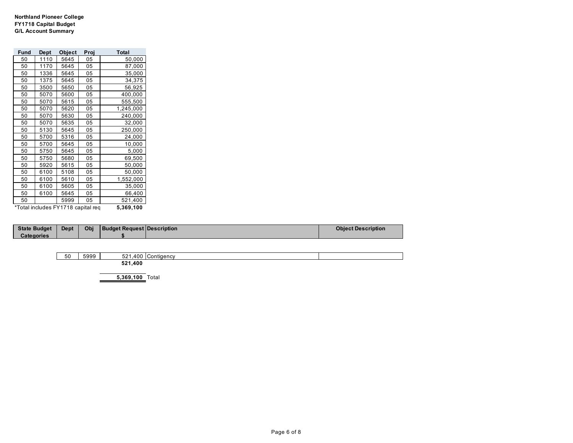**Northland Pioneer College FY1718 Capital Budget G/L Account Summary**

| Fund | <b>Dept</b> | Object                             | Proj | Total     |
|------|-------------|------------------------------------|------|-----------|
| 50   | 1110        | 5645                               | 05   | 50,000    |
| 50   | 1170        | 5645                               | 05   | 87,000    |
| 50   | 1336        | 5645                               | 05   | 35,000    |
| 50   | 1375        | 5645                               | 05   | 34,375    |
| 50   | 3500        | 5650                               | 05   | 56,925    |
| 50   | 5070        | 5600                               | 05   | 400,000   |
| 50   | 5070        | 5615                               | 05   | 555,500   |
| 50   | 5070        | 5620                               | 05   | 1,245,000 |
| 50   | 5070        | 5630                               | 05   | 240,000   |
| 50   | 5070        | 5635                               | 05   | 32,000    |
| 50   | 5130        | 5645                               | 05   | 250,000   |
| 50   | 5700        | 5316                               | 05   | 24,000    |
| 50   | 5700        | 5645                               | 05   | 10,000    |
| 50   | 5750        | 5645                               | 05   | 5,000     |
| 50   | 5750        | 5680                               | 05   | 69,500    |
| 50   | 5920        | 5615                               | 05   | 50,000    |
| 50   | 6100        | 5108                               | 05   | 50,000    |
| 50   | 6100        | 5610                               | 05   | 1,552,000 |
| 50   | 6100        | 5605                               | 05   | 35,000    |
| 50   | 6100        | 5645                               | 05   | 66,400    |
| 50   |             | 5999                               | 05   | 521,400   |
|      |             | *Total includes FY1718 capital req |      | 5,369,100 |

| <b>State Budget</b> | <b>Dept</b> | Obi | Budget Request Description | <b>Object Description</b> |
|---------------------|-------------|-----|----------------------------|---------------------------|
| Categories          |             |     |                            |                           |

| 50 | 5000<br>ບອອອ | 400<br>EO.<br>34<br>᠇୰៴ | יטווסג |  |
|----|--------------|-------------------------|--------|--|
|    |              | 521,400                 |        |  |
|    |              |                         |        |  |

 **5,369,100** Total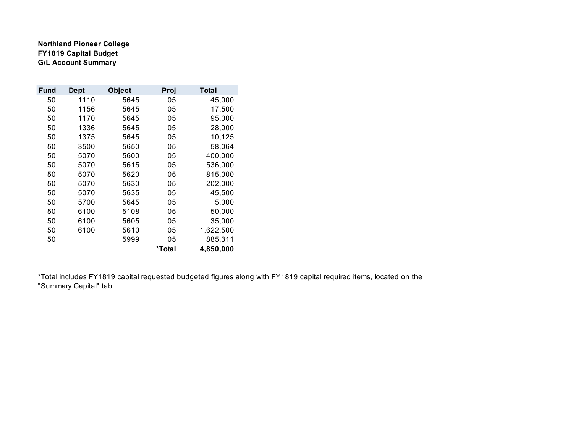**Northland Pioneer College FY1819 Capital Budget G/L Account Summary**

| Fund | <b>Dept</b> | <b>Object</b> | Proj   | Total     |
|------|-------------|---------------|--------|-----------|
| 50   | 1110        | 5645          | 05     | 45,000    |
| 50   | 1156        | 5645          | 05     | 17,500    |
| 50   | 1170        | 5645          | 05     | 95,000    |
| 50   | 1336        | 5645          | 05     | 28,000    |
| 50   | 1375        | 5645          | 05     | 10,125    |
| 50   | 3500        | 5650          | 05     | 58,064    |
| 50   | 5070        | 5600          | 05     | 400,000   |
| 50   | 5070        | 5615          | 05     | 536,000   |
| 50   | 5070        | 5620          | 05     | 815,000   |
| 50   | 5070        | 5630          | 05     | 202,000   |
| 50   | 5070        | 5635          | 05     | 45,500    |
| 50   | 5700        | 5645          | 05     | 5,000     |
| 50   | 6100        | 5108          | 05     | 50,000    |
| 50   | 6100        | 5605          | 05     | 35,000    |
| 50   | 6100        | 5610          | 05     | 1,622,500 |
| 50   |             | 5999          | 05     | 885,311   |
|      |             |               | *Total | 4,850,000 |

\*Total includes FY1819 capital requested budgeted figures along with FY1819 capital required items, located on the "Summary Capital" tab.